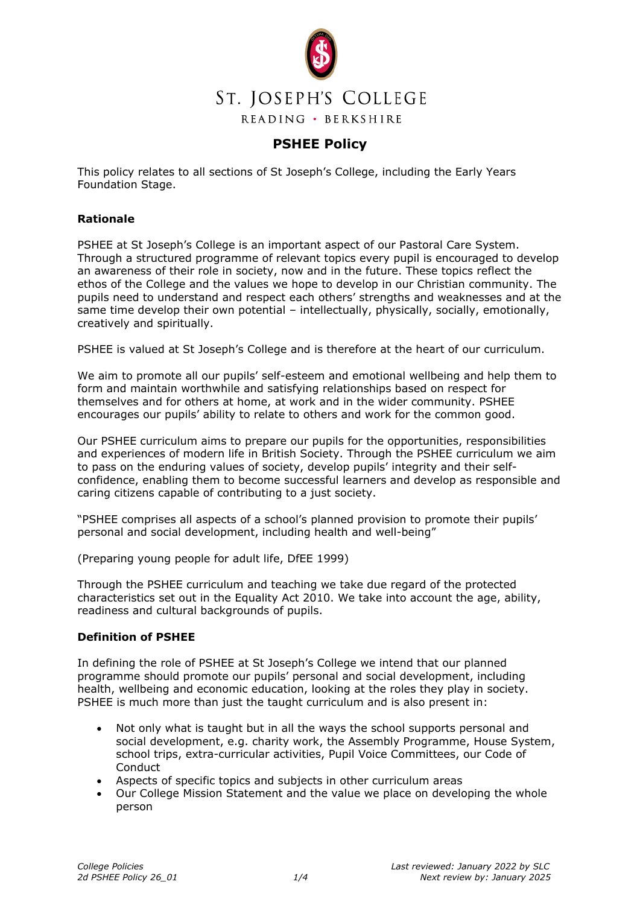

# **PSHEE Policy**

This policy relates to all sections of St Joseph's College, including the Early Years Foundation Stage.

# **Rationale**

PSHEE at St Joseph's College is an important aspect of our Pastoral Care System. Through a structured programme of relevant topics every pupil is encouraged to develop an awareness of their role in society, now and in the future. These topics reflect the ethos of the College and the values we hope to develop in our Christian community. The pupils need to understand and respect each others' strengths and weaknesses and at the same time develop their own potential – intellectually, physically, socially, emotionally, creatively and spiritually.

PSHEE is valued at St Joseph's College and is therefore at the heart of our curriculum.

We aim to promote all our pupils' self-esteem and emotional wellbeing and help them to form and maintain worthwhile and satisfying relationships based on respect for themselves and for others at home, at work and in the wider community. PSHEE encourages our pupils' ability to relate to others and work for the common good.

Our PSHEE curriculum aims to prepare our pupils for the opportunities, responsibilities and experiences of modern life in British Society. Through the PSHEE curriculum we aim to pass on the enduring values of society, develop pupils' integrity and their selfconfidence, enabling them to become successful learners and develop as responsible and caring citizens capable of contributing to a just society.

"PSHEE comprises all aspects of a school's planned provision to promote their pupils' personal and social development, including health and well-being"

(Preparing young people for adult life, DfEE 1999)

Through the PSHEE curriculum and teaching we take due regard of the protected characteristics set out in the Equality Act 2010. We take into account the age, ability, readiness and cultural backgrounds of pupils.

## **Definition of PSHEE**

In defining the role of PSHEE at St Joseph's College we intend that our planned programme should promote our pupils' personal and social development, including health, wellbeing and economic education, looking at the roles they play in society. PSHEE is much more than just the taught curriculum and is also present in:

- Not only what is taught but in all the ways the school supports personal and social development, e.g. charity work, the Assembly Programme, House System, school trips, extra-curricular activities, Pupil Voice Committees, our Code of **Conduct**
- Aspects of specific topics and subjects in other curriculum areas
- Our College Mission Statement and the value we place on developing the whole person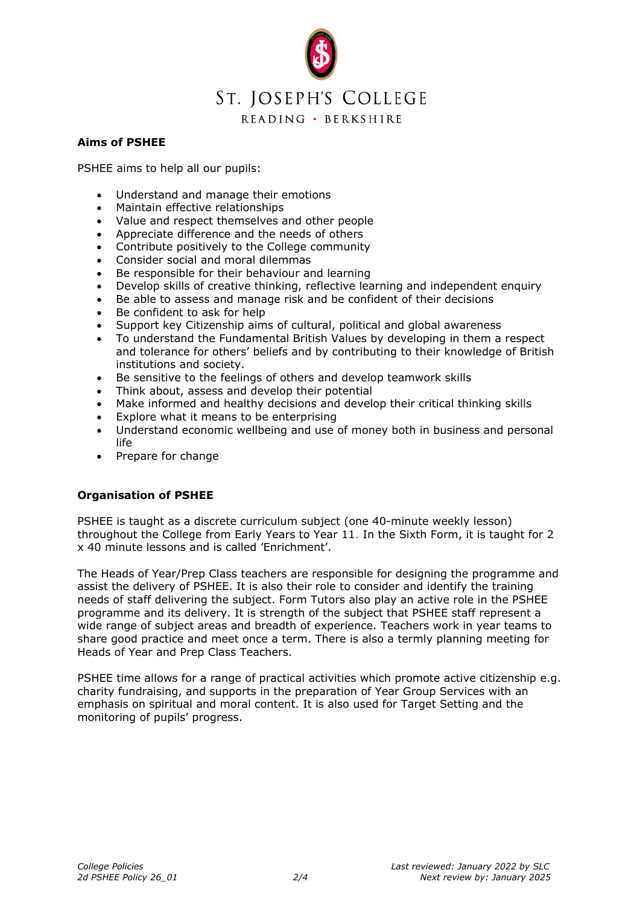

## **Aims of PSHEE**

PSHEE aims to help all our pupils:

- Understand and manage their emotions
- Maintain effective relationships
- Value and respect themselves and other people
- Appreciate difference and the needs of others
- Contribute positively to the College community
- Consider social and moral dilemmas
- Be responsible for their behaviour and learning
- Develop skills of creative thinking, reflective learning and independent enquiry
- Be able to assess and manage risk and be confident of their decisions
- Be confident to ask for help
- Support key Citizenship aims of cultural, political and global awareness
- To understand the Fundamental British Values by developing in them a respect and tolerance for others' beliefs and by contributing to their knowledge of British institutions and society.
- Be sensitive to the feelings of others and develop teamwork skills
- Think about, assess and develop their potential
- Make informed and healthy decisions and develop their critical thinking skills
- Explore what it means to be enterprising
- Understand economic wellbeing and use of money both in business and personal life
- Prepare for change

# **Organisation of PSHEE**

PSHEE is taught as a discrete curriculum subject (one 40-minute weekly lesson) throughout the College from Early Years to Year 11. In the Sixth Form, it is taught for 2 x 40 minute lessons and is called 'Enrichment'.

The Heads of Year/Prep Class teachers are responsible for designing the programme and assist the delivery of PSHEE. It is also their role to consider and identify the training needs of staff delivering the subject. Form Tutors also play an active role in the PSHEE programme and its delivery. It is strength of the subject that PSHEE staff represent a wide range of subject areas and breadth of experience. Teachers work in year teams to share good practice and meet once a term. There is also a termly planning meeting for Heads of Year and Prep Class Teachers.

PSHEE time allows for a range of practical activities which promote active citizenship e.g. charity fundraising, and supports in the preparation of Year Group Services with an emphasis on spiritual and moral content. It is also used for Target Setting and the monitoring of pupils' progress.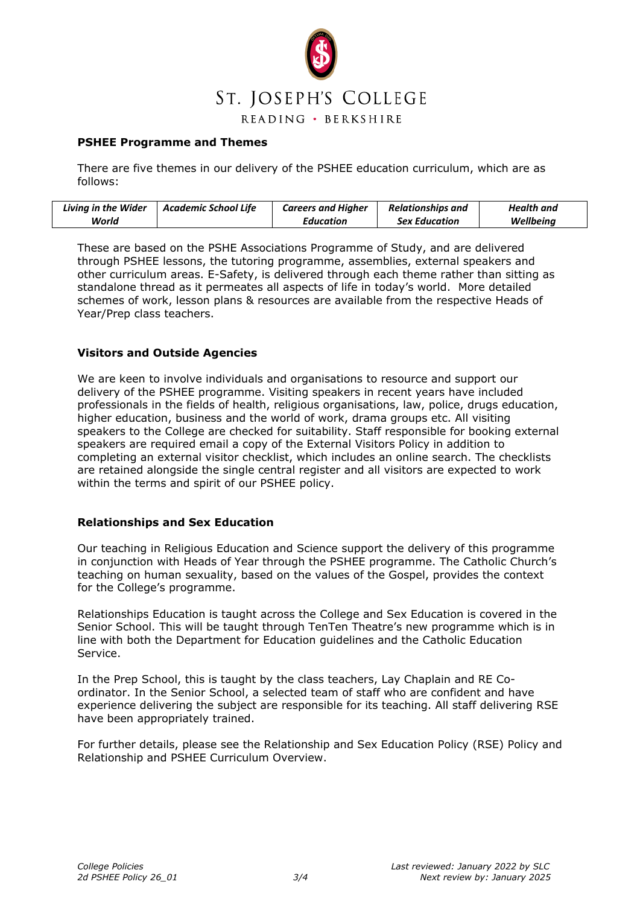

## **PSHEE Programme and Themes**

There are five themes in our delivery of the PSHEE education curriculum, which are as follows:

| <b>Living in the Wider</b> | Academic School Life | <b>Careers and Higher</b> | <b>Relationships and</b> | Health and |
|----------------------------|----------------------|---------------------------|--------------------------|------------|
| World                      |                      | Education                 | <b>Sex Education</b>     | Wellbeing  |

These are based on the PSHE Associations Programme of Study, and are delivered through PSHEE lessons, the tutoring programme, assemblies, external speakers and other curriculum areas. E-Safety, is delivered through each theme rather than sitting as standalone thread as it permeates all aspects of life in today's world. More detailed schemes of work, lesson plans & resources are available from the respective Heads of Year/Prep class teachers.

#### **Visitors and Outside Agencies**

We are keen to involve individuals and organisations to resource and support our delivery of the PSHEE programme. Visiting speakers in recent years have included professionals in the fields of health, religious organisations, law, police, drugs education, higher education, business and the world of work, drama groups etc. All visiting speakers to the College are checked for suitability. Staff responsible for booking external speakers are required email a copy of the External Visitors Policy in addition to completing an external visitor checklist, which includes an online search. The checklists are retained alongside the single central register and all visitors are expected to work within the terms and spirit of our PSHEE policy.

#### **Relationships and Sex Education**

Our teaching in Religious Education and Science support the delivery of this programme in conjunction with Heads of Year through the PSHEE programme. The Catholic Church's teaching on human sexuality, based on the values of the Gospel, provides the context for the College's programme.

Relationships Education is taught across the College and Sex Education is covered in the Senior School. This will be taught through TenTen Theatre's new programme which is in line with both the Department for Education guidelines and the Catholic Education Service.

In the Prep School, this is taught by the class teachers, Lay Chaplain and RE Coordinator. In the Senior School, a selected team of staff who are confident and have experience delivering the subject are responsible for its teaching. All staff delivering RSE have been appropriately trained.

For further details, please see the Relationship and Sex Education Policy (RSE) Policy and Relationship and PSHEE Curriculum Overview.